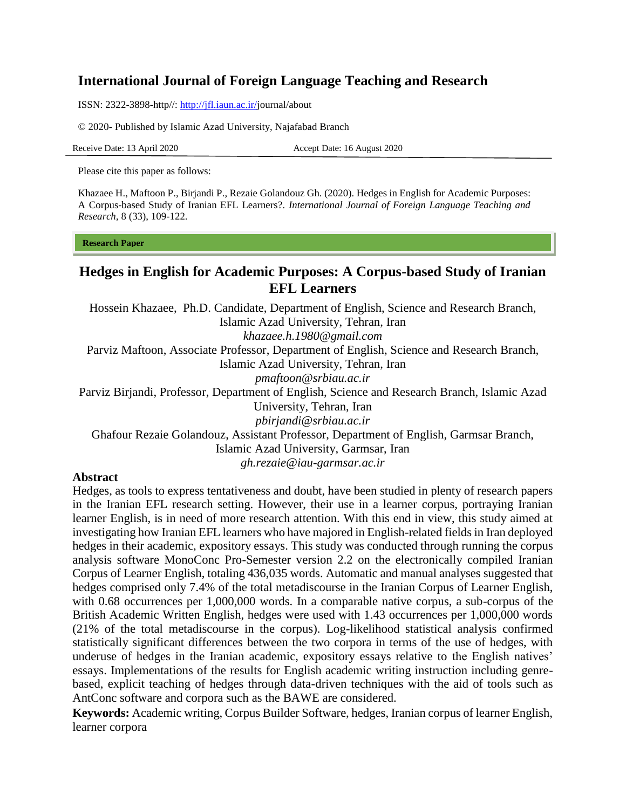# **International Journal of Foreign Language Teaching and Research**

ISSN: 2322-3898-http//: [http://jfl.iaun.ac.ir/j](http://jfl.iaun.ac.ir/)ournal/about

© 2020- Published by Islamic Azad University, Najafabad Branch

Receive Date: 13 April 2020 Accept Date: 16 August 2020

Please cite this paper as follows:

Khazaee H., Maftoon P., Birjandi P., Rezaie Golandouz Gh. (2020). Hedges in English for Academic Purposes: A Corpus-based Study of Iranian EFL Learners?. *International Journal of Foreign Language Teaching and Research,* 8 (33), 109-122.

#### **Research Paper**

# **Hedges in English for Academic Purposes: A Corpus-based Study of Iranian EFL Learners**

Hossein Khazaee, Ph.D. Candidate, Department of English, Science and Research Branch, Islamic Azad University, Tehran, Iran *[khazaee.h.1980@gmail.com](mailto:khazaee.h.1980@gmail.com)* Parviz Maftoon, Associate Professor, Department of English, Science and Research Branch, Islamic Azad University, Tehran, Iran *[pmaftoon@srbiau.ac.ir](mailto:pmaftoon@srbiau.ac.ir)* Parviz Birjandi, Professor, Department of English, Science and Research Branch, Islamic Azad University, Tehran, Iran *[pbirjandi@srbiau.ac.ir](mailto:pbirjandi@srbiau.ac.ir)* Ghafour Rezaie Golandouz, Assistant Professor, Department of English, Garmsar Branch, Islamic Azad University, Garmsar, Iran *[gh.rezaie@iau-garmsar.ac.ir](mailto:gh.rezaie@iau-garmsar.ac.ir)*

#### **Abstract**

Hedges, as tools to express tentativeness and doubt, have been studied in plenty of research papers in the Iranian EFL research setting. However, their use in a learner corpus, portraying Iranian learner English, is in need of more research attention. With this end in view, this study aimed at investigating how Iranian EFL learners who have majored in English-related fields in Iran deployed hedges in their academic, expository essays. This study was conducted through running the corpus analysis software MonoConc Pro-Semester version 2.2 on the electronically compiled Iranian Corpus of Learner English, totaling 436,035 words. Automatic and manual analyses suggested that hedges comprised only 7.4% of the total metadiscourse in the Iranian Corpus of Learner English, with 0.68 occurrences per 1,000,000 words. In a comparable native corpus, a sub-corpus of the British Academic Written English, hedges were used with 1.43 occurrences per 1,000,000 words (21% of the total metadiscourse in the corpus). Log-likelihood statistical analysis confirmed statistically significant differences between the two corpora in terms of the use of hedges, with underuse of hedges in the Iranian academic, expository essays relative to the English natives' essays. Implementations of the results for English academic writing instruction including genrebased, explicit teaching of hedges through data-driven techniques with the aid of tools such as AntConc software and corpora such as the BAWE are considered.

**Keywords:** Academic writing, Corpus Builder Software, hedges, Iranian corpus of learner English, learner corpora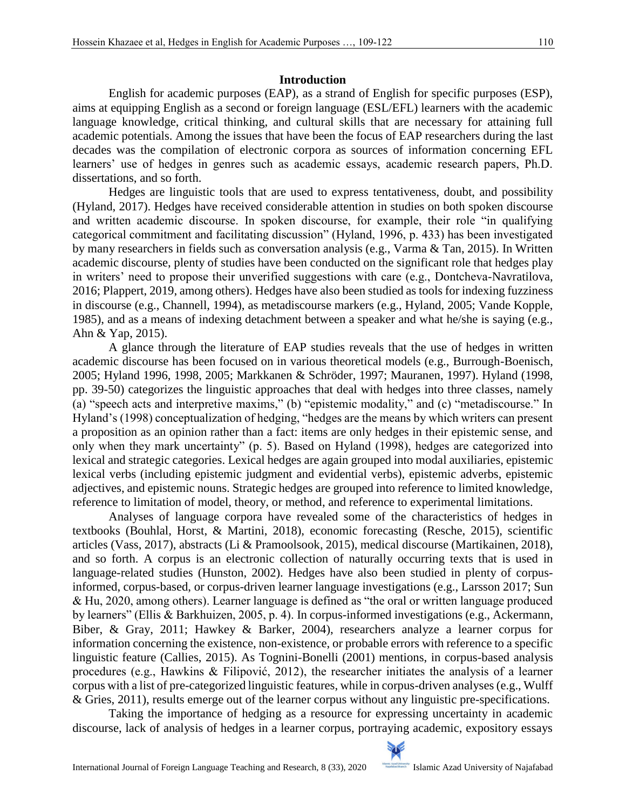### **Introduction**

English for academic purposes (EAP), as a strand of English for specific purposes (ESP), aims at equipping English as a second or foreign language (ESL/EFL) learners with the academic language knowledge, critical thinking, and cultural skills that are necessary for attaining full academic potentials. Among the issues that have been the focus of EAP researchers during the last decades was the compilation of electronic corpora as sources of information concerning EFL learners' use of hedges in genres such as academic essays, academic research papers, Ph.D. dissertations, and so forth.

Hedges are linguistic tools that are used to express tentativeness, doubt, and possibility (Hyland, 2017). Hedges have received considerable attention in studies on both spoken discourse and written academic discourse. In spoken discourse, for example, their role "in qualifying categorical commitment and facilitating discussion" (Hyland, 1996, p. 433) has been investigated by many researchers in fields such as conversation analysis (e.g., Varma & Tan, 2015). In Written academic discourse, plenty of studies have been conducted on the significant role that hedges play in writers' need to propose their unverified suggestions with care (e.g., Dontcheva-Navratilova, 2016; Plappert, 2019, among others). Hedges have also been studied as tools for indexing fuzziness in discourse (e.g., Channell, 1994), as metadiscourse markers (e.g., Hyland, 2005; Vande Kopple, 1985), and as a means of indexing detachment between a speaker and what he/she is saying (e.g., Ahn & Yap, 2015).

A glance through the literature of EAP studies reveals that the use of hedges in written academic discourse has been focused on in various theoretical models (e.g., Burrough-Boenisch, 2005; Hyland 1996, 1998, 2005; Markkanen & Schröder, 1997; Mauranen, 1997). Hyland (1998, pp. 39-50) categorizes the linguistic approaches that deal with hedges into three classes, namely (a) "speech acts and interpretive maxims," (b) "epistemic modality," and (c) "metadiscourse." In Hyland's (1998) conceptualization of hedging, "hedges are the means by which writers can present a proposition as an opinion rather than a fact: items are only hedges in their epistemic sense, and only when they mark uncertainty" (p. 5). Based on Hyland (1998), hedges are categorized into lexical and strategic categories. Lexical hedges are again grouped into modal auxiliaries, epistemic lexical verbs (including epistemic judgment and evidential verbs), epistemic adverbs, epistemic adjectives, and epistemic nouns. Strategic hedges are grouped into reference to limited knowledge, reference to limitation of model, theory, or method, and reference to experimental limitations.

Analyses of language corpora have revealed some of the characteristics of hedges in textbooks (Bouhlal, Horst, & Martini, 2018), economic forecasting (Resche, 2015), scientific articles (Vass, 2017), abstracts (Li & Pramoolsook, 2015), medical discourse (Martikainen, 2018), and so forth. A corpus is an electronic collection of naturally occurring texts that is used in language-related studies (Hunston, 2002). Hedges have also been studied in plenty of corpusinformed, corpus-based, or corpus-driven learner language investigations (e.g., Larsson 2017; Sun & Hu, 2020, among others). Learner language is defined as "the oral or written language produced by learners" (Ellis & Barkhuizen, 2005, p. 4). In corpus-informed investigations (e.g., Ackermann, Biber, & Gray, 2011; Hawkey & Barker, 2004), researchers analyze a learner corpus for information concerning the existence, non-existence, or probable errors with reference to a specific linguistic feature (Callies, 2015). As Tognini-Bonelli (2001) mentions, in corpus-based analysis procedures (e.g., Hawkins & Filipović, 2012), the researcher initiates the analysis of a learner corpus with a list of pre-categorized linguistic features, while in corpus-driven analyses (e.g., Wulff & Gries, 2011), results emerge out of the learner corpus without any linguistic pre-specifications.

Taking the importance of hedging as a resource for expressing uncertainty in academic discourse, lack of analysis of hedges in a learner corpus, portraying academic, expository essays

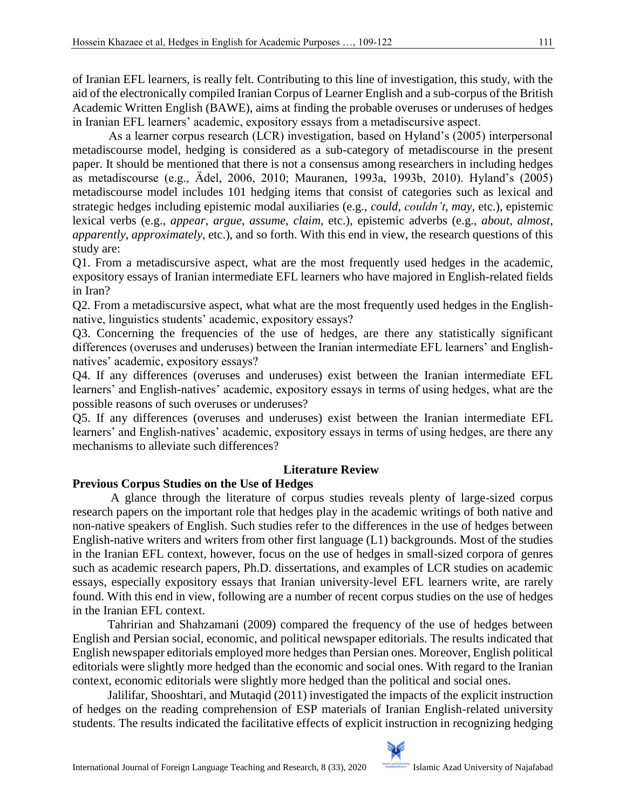of Iranian EFL learners, is really felt. Contributing to this line of investigation, this study, with the aid of the electronically compiled Iranian Corpus of Learner English and a sub-corpus of the British Academic Written English (BAWE), aims at finding the probable overuses or underuses of hedges in Iranian EFL learners' academic, expository essays from a metadiscursive aspect.

As a learner corpus research (LCR) investigation, based on Hyland's (2005) interpersonal metadiscourse model, hedging is considered as a sub-category of metadiscourse in the present paper. It should be mentioned that there is not a consensus among researchers in including hedges as metadiscourse (e.g., Ädel, 2006, 2010; Mauranen, 1993a, 1993b, 2010). Hyland's (2005) metadiscourse model includes 101 hedging items that consist of categories such as lexical and strategic hedges including epistemic modal auxiliaries (e.g., *could*, *couldn't*, *may*, etc.), epistemic lexical verbs (e.g., *appear*, *argue*, *assume*, *claim*, etc.), epistemic adverbs (e.g., *about*, *almost*, *apparently*, *approximately*, etc.), and so forth. With this end in view, the research questions of this study are:

Q1. From a metadiscursive aspect, what are the most frequently used hedges in the academic, expository essays of Iranian intermediate EFL learners who have majored in English-related fields in Iran?

Q2. From a metadiscursive aspect, what what are the most frequently used hedges in the Englishnative, linguistics students' academic, expository essays?

Q3. Concerning the frequencies of the use of hedges, are there any statistically significant differences (overuses and underuses) between the Iranian intermediate EFL learners' and Englishnatives' academic, expository essays?

Q4. If any differences (overuses and underuses) exist between the Iranian intermediate EFL learners' and English-natives' academic, expository essays in terms of using hedges, what are the possible reasons of such overuses or underuses?

Q5. If any differences (overuses and underuses) exist between the Iranian intermediate EFL learners' and English-natives' academic, expository essays in terms of using hedges, are there any mechanisms to alleviate such differences?

# **Literature Review**

# **Previous Corpus Studies on the Use of Hedges**

 A glance through the literature of corpus studies reveals plenty of large-sized corpus research papers on the important role that hedges play in the academic writings of both native and non-native speakers of English. Such studies refer to the differences in the use of hedges between English-native writers and writers from other first language (L1) backgrounds. Most of the studies in the Iranian EFL context, however, focus on the use of hedges in small-sized corpora of genres such as academic research papers, Ph.D. dissertations, and examples of LCR studies on academic essays, especially expository essays that Iranian university-level EFL learners write, are rarely found. With this end in view, following are a number of recent corpus studies on the use of hedges in the Iranian EFL context.

 Tahririan and Shahzamani (2009) compared the frequency of the use of hedges between English and Persian social, economic, and political newspaper editorials. The results indicated that English newspaper editorials employed more hedges than Persian ones. Moreover, English political editorials were slightly more hedged than the economic and social ones. With regard to the Iranian context, economic editorials were slightly more hedged than the political and social ones.

 Jalilifar, Shooshtari, and Mutaqid (2011) investigated the impacts of the explicit instruction of hedges on the reading comprehension of ESP materials of Iranian English-related university students. The results indicated the facilitative effects of explicit instruction in recognizing hedging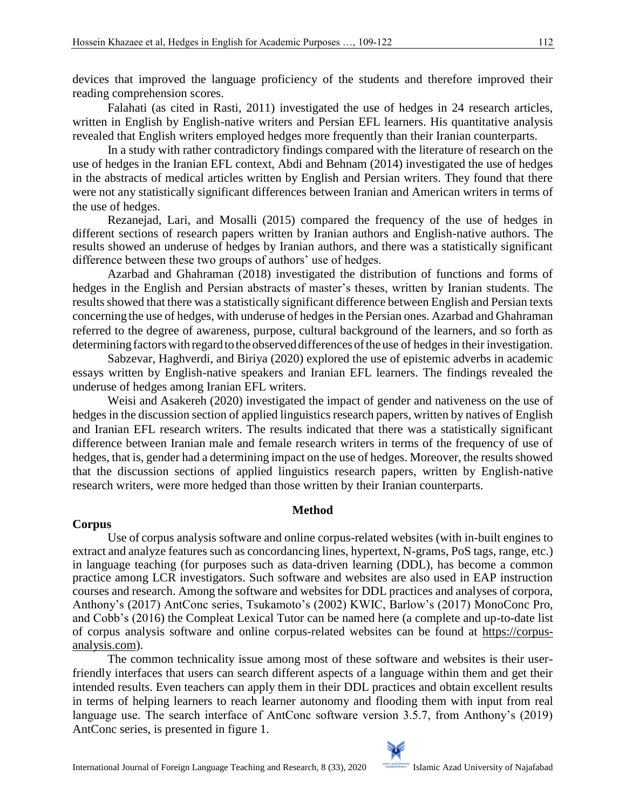devices that improved the language proficiency of the students and therefore improved their reading comprehension scores.

 Falahati (as cited in Rasti, 2011) investigated the use of hedges in 24 research articles, written in English by English-native writers and Persian EFL learners. His quantitative analysis revealed that English writers employed hedges more frequently than their Iranian counterparts.

 In a study with rather contradictory findings compared with the literature of research on the use of hedges in the Iranian EFL context, Abdi and Behnam (2014) investigated the use of hedges in the abstracts of medical articles written by English and Persian writers. They found that there were not any statistically significant differences between Iranian and American writers in terms of the use of hedges.

 Rezanejad, Lari, and Mosalli (2015) compared the frequency of the use of hedges in different sections of research papers written by Iranian authors and English-native authors. The results showed an underuse of hedges by Iranian authors, and there was a statistically significant difference between these two groups of authors' use of hedges.

 Azarbad and Ghahraman (2018) investigated the distribution of functions and forms of hedges in the English and Persian abstracts of master's theses, written by Iranian students. The results showed that there was a statistically significant difference between English and Persian texts concerning the use of hedges, with underuse of hedges in the Persian ones. Azarbad and Ghahraman referred to the degree of awareness, purpose, cultural background of the learners, and so forth as determining factors with regard to the observed differences of the use of hedges in their investigation.

 Sabzevar, Haghverdi, and Biriya (2020) explored the use of epistemic adverbs in academic essays written by English-native speakers and Iranian EFL learners. The findings revealed the underuse of hedges among Iranian EFL writers.

 Weisi and Asakereh (2020) investigated the impact of gender and nativeness on the use of hedges in the discussion section of applied linguistics research papers, written by natives of English and Iranian EFL research writers. The results indicated that there was a statistically significant difference between Iranian male and female research writers in terms of the frequency of use of hedges, that is, gender had a determining impact on the use of hedges. Moreover, the results showed that the discussion sections of applied linguistics research papers, written by English-native research writers, were more hedged than those written by their Iranian counterparts.

#### **Method**

#### **Corpus**

 Use of corpus analysis software and online corpus-related websites (with in-built engines to extract and analyze features such as concordancing lines, hypertext, N-grams, PoS tags, range, etc.) in language teaching (for purposes such as data-driven learning (DDL), has become a common practice among LCR investigators. Such software and websites are also used in EAP instruction courses and research. Among the software and websites for DDL practices and analyses of corpora, Anthony's (2017) AntConc series, Tsukamoto's (2002) KWIC, Barlow's (2017) MonoConc Pro, and Cobb's (2016) the Compleat Lexical Tutor can be named here (a complete and up-to-date list of corpus analysis software and online corpus-related websites can be found at [https://corpus](https://corpus-analysis.com/)[analysis.com\)](https://corpus-analysis.com/).

 The common technicality issue among most of these software and websites is their userfriendly interfaces that users can search different aspects of a language within them and get their intended results. Even teachers can apply them in their DDL practices and obtain excellent results in terms of helping learners to reach learner autonomy and flooding them with input from real language use. The search interface of AntConc software version 3.5.7, from Anthony's (2019) AntConc series, is presented in figure 1.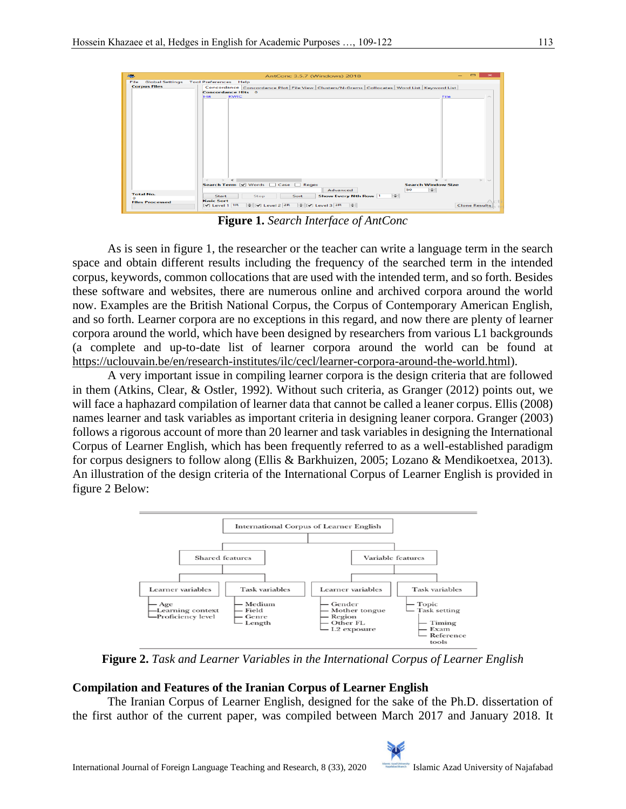|                                | $\qquad \qquad \blacksquare$<br>$\mathbf{\times}$<br>AntConc 3.5.7 (Windows) 2018         |  |  |  |  |  |  |
|--------------------------------|-------------------------------------------------------------------------------------------|--|--|--|--|--|--|
| <b>Global Settings</b><br>File | <b>Tool Preferences</b><br>Help                                                           |  |  |  |  |  |  |
| <b>Corpus Files</b>            | Concordance Concordance Plot File View Clusters/N-Grams Collocates Word List Keyword List |  |  |  |  |  |  |
|                                | <b>Concordance Hits</b> 0                                                                 |  |  |  |  |  |  |
|                                | <b>KWIC</b><br>Hit:<br><b>File</b><br>$\mathcal{A}_{\mathcal{N}}$                         |  |  |  |  |  |  |
|                                |                                                                                           |  |  |  |  |  |  |
|                                |                                                                                           |  |  |  |  |  |  |
|                                |                                                                                           |  |  |  |  |  |  |
|                                |                                                                                           |  |  |  |  |  |  |
|                                |                                                                                           |  |  |  |  |  |  |
|                                |                                                                                           |  |  |  |  |  |  |
|                                |                                                                                           |  |  |  |  |  |  |
|                                |                                                                                           |  |  |  |  |  |  |
|                                |                                                                                           |  |  |  |  |  |  |
|                                |                                                                                           |  |  |  |  |  |  |
|                                |                                                                                           |  |  |  |  |  |  |
|                                |                                                                                           |  |  |  |  |  |  |
|                                |                                                                                           |  |  |  |  |  |  |
|                                |                                                                                           |  |  |  |  |  |  |
|                                |                                                                                           |  |  |  |  |  |  |
|                                |                                                                                           |  |  |  |  |  |  |
|                                |                                                                                           |  |  |  |  |  |  |
|                                |                                                                                           |  |  |  |  |  |  |
|                                | $\langle \rangle$<br>$\rightarrow$<br>$>$ $\sim$                                          |  |  |  |  |  |  |
|                                | Search Term V Words   Case   Regex<br><b>Search Window Size</b>                           |  |  |  |  |  |  |
|                                |                                                                                           |  |  |  |  |  |  |
|                                | $\Rightarrow$<br>50<br>Advanced                                                           |  |  |  |  |  |  |
| <b>Total No.</b>               | 노<br><b>Show Every Nth Row 1</b><br>Start<br>Stop<br>Sort                                 |  |  |  |  |  |  |
|                                | <b>Kwic Sort</b>                                                                          |  |  |  |  |  |  |
| <b>Files Processed</b>         | $\div$ $\sqrt{v}$ Level 2 2R $\div$ $\sqrt{v}$ Level 3 3R $\div$                          |  |  |  |  |  |  |
|                                | $\blacktriangleright$ Level 1 1R<br><b>Clone Results</b>                                  |  |  |  |  |  |  |

**Figure 1.** *Search Interface of AntConc*

 As is seen in figure 1, the researcher or the teacher can write a language term in the search space and obtain different results including the frequency of the searched term in the intended corpus, keywords, common collocations that are used with the intended term, and so forth. Besides these software and websites, there are numerous online and archived corpora around the world now. Examples are the British National Corpus, the Corpus of Contemporary American English, and so forth. Learner corpora are no exceptions in this regard, and now there are plenty of learner corpora around the world, which have been designed by researchers from various L1 backgrounds (a complete and up-to-date list of learner corpora around the world can be found at [https://uclouvain.be/en/research-institutes/ilc/cecl/learner-corpora-around-the-world.html\)](https://uclouvain.be/en/research-institutes/ilc/cecl/learner-corpora-around-the-world.html).

 A very important issue in compiling learner corpora is the design criteria that are followed in them (Atkins, Clear, & Ostler, 1992). Without such criteria, as Granger (2012) points out, we will face a haphazard compilation of learner data that cannot be called a leaner corpus. Ellis (2008) names learner and task variables as important criteria in designing leaner corpora. Granger (2003) follows a rigorous account of more than 20 learner and task variables in designing the International Corpus of Learner English, which has been frequently referred to as a well-established paradigm for corpus designers to follow along (Ellis & Barkhuizen, 2005; Lozano & Mendikoetxea, 2013). An illustration of the design criteria of the International Corpus of Learner English is provided in figure 2 Below:



**Figure 2.** *Task and Learner Variables in the International Corpus of Learner English*

# **Compilation and Features of the Iranian Corpus of Learner English**

 The Iranian Corpus of Learner English, designed for the sake of the Ph.D. dissertation of the first author of the current paper, was compiled between March 2017 and January 2018. It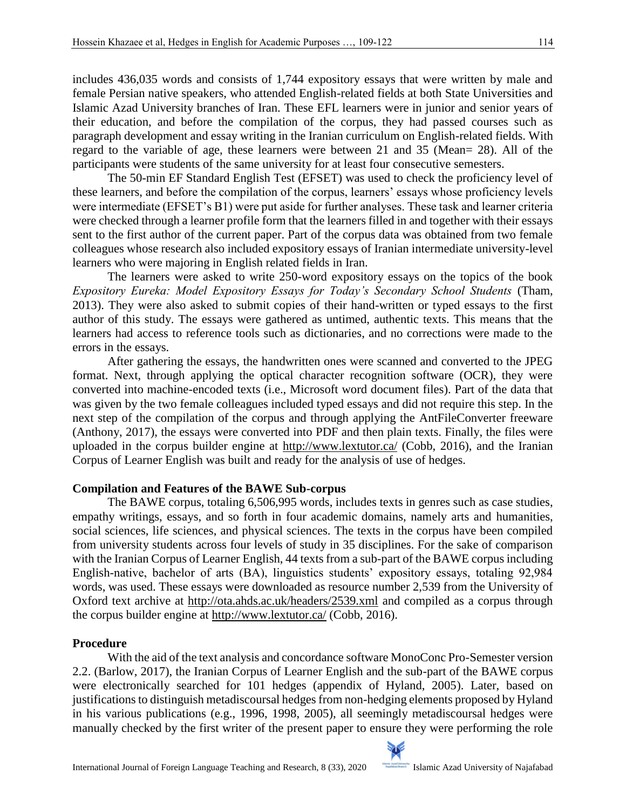includes 436,035 words and consists of 1,744 expository essays that were written by male and female Persian native speakers, who attended English-related fields at both State Universities and Islamic Azad University branches of Iran. These EFL learners were in junior and senior years of their education, and before the compilation of the corpus, they had passed courses such as paragraph development and essay writing in the Iranian curriculum on English-related fields. With regard to the variable of age, these learners were between 21 and 35 (Mean= 28). All of the participants were students of the same university for at least four consecutive semesters.

 The 50-min EF Standard English Test (EFSET) was used to check the proficiency level of these learners, and before the compilation of the corpus, learners' essays whose proficiency levels were intermediate (EFSET's B1) were put aside for further analyses. These task and learner criteria were checked through a learner profile form that the learners filled in and together with their essays sent to the first author of the current paper. Part of the corpus data was obtained from two female colleagues whose research also included expository essays of Iranian intermediate university-level learners who were majoring in English related fields in Iran.

 The learners were asked to write 250-word expository essays on the topics of the book *Expository Eureka: Model Expository Essays for Today's Secondary School Students* (Tham, 2013). They were also asked to submit copies of their hand-written or typed essays to the first author of this study. The essays were gathered as untimed, authentic texts. This means that the learners had access to reference tools such as dictionaries, and no corrections were made to the errors in the essays.

 After gathering the essays, the handwritten ones were scanned and converted to the JPEG format. Next, through applying the optical character recognition software (OCR), they were converted into machine-encoded texts (i.e., Microsoft word document files). Part of the data that was given by the two female colleagues included typed essays and did not require this step. In the next step of the compilation of the corpus and through applying the AntFileConverter freeware (Anthony, 2017), the essays were converted into PDF and then plain texts. Finally, the files were uploaded in the corpus builder engine at<http://www.lextutor.ca/> (Cobb, 2016), and the Iranian Corpus of Learner English was built and ready for the analysis of use of hedges.

# **Compilation and Features of the BAWE Sub-corpus**

 The BAWE corpus, totaling 6,506,995 words, includes texts in genres such as case studies, empathy writings, essays, and so forth in four academic domains, namely arts and humanities, social sciences, life sciences, and physical sciences. The texts in the corpus have been compiled from university students across four levels of study in 35 disciplines. For the sake of comparison with the Iranian Corpus of Learner English, 44 texts from a sub-part of the BAWE corpus including English-native, bachelor of arts (BA), linguistics students' expository essays, totaling 92,984 words, was used. These essays were downloaded as resource number 2,539 from the University of Oxford text archive at<http://ota.ahds.ac.uk/headers/2539.xml> and compiled as a corpus through the corpus builder engine at<http://www.lextutor.ca/> (Cobb, 2016).

# **Procedure**

 With the aid of the text analysis and concordance software MonoConc Pro-Semester version 2.2. (Barlow, 2017), the Iranian Corpus of Learner English and the sub-part of the BAWE corpus were electronically searched for 101 hedges (appendix of Hyland, 2005). Later, based on justifications to distinguish metadiscoursal hedges from non-hedging elements proposed by Hyland in his various publications (e.g., 1996, 1998, 2005), all seemingly metadiscoursal hedges were manually checked by the first writer of the present paper to ensure they were performing the role

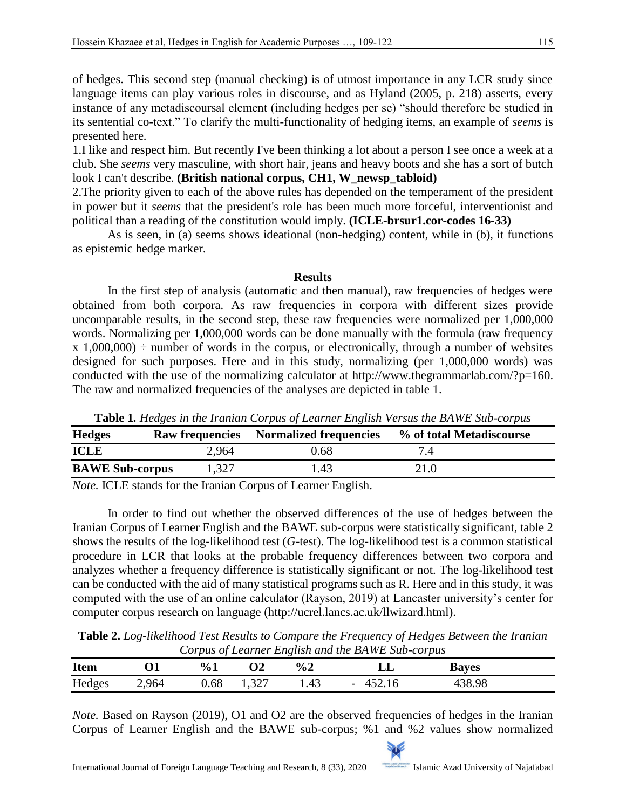of hedges. This second step (manual checking) is of utmost importance in any LCR study since language items can play various roles in discourse, and as Hyland (2005, p. 218) asserts, every instance of any metadiscoursal element (including hedges per se) "should therefore be studied in its sentential co-text." To clarify the multi-functionality of hedging items, an example of *seems* is presented here.

1.I like and respect him. But recently I've been thinking a lot about a person I see once a week at a club. She *seems* very masculine, with short hair, jeans and heavy boots and she has a sort of butch look I can't describe. **(British national corpus, CH1, W\_newsp\_tabloid)**

2.The priority given to each of the above rules has depended on the temperament of the president in power but it *seems* that the president's role has been much more forceful, interventionist and political than a reading of the constitution would imply. **(ICLE-brsur1.cor-codes 16-33)**

 As is seen, in (a) seems shows ideational (non-hedging) content, while in (b), it functions as epistemic hedge marker.

#### **Results**

 In the first step of analysis (automatic and then manual), raw frequencies of hedges were obtained from both corpora. As raw frequencies in corpora with different sizes provide uncomparable results, in the second step, these raw frequencies were normalized per 1,000,000 words. Normalizing per 1,000,000 words can be done manually with the formula (raw frequency  $x$  1,000,000)  $\div$  number of words in the corpus, or electronically, through a number of websites designed for such purposes. Here and in this study, normalizing (per 1,000,000 words) was conducted with the use of the normalizing calculator at [http://www.thegrammarlab.com/?p=160.](http://www.thegrammarlab.com/?p=160) The raw and normalized frequencies of the analyses are depicted in table 1.

| <b>Hedges</b>          | <b>Raw frequencies</b> | <b>Normalized frequencies</b> | % of total Metadiscourse |
|------------------------|------------------------|-------------------------------|--------------------------|
| <b>ICLE</b>            | 2,964                  | 0.68                          |                          |
| <b>BAWE Sub-corpus</b> | 1,327                  | $^{\prime}$ .43               | 21.0                     |

**Table 1***. Hedges in the Iranian Corpus of Learner English Versus the BAWE Sub-corpus*

*Note.* ICLE stands for the Iranian Corpus of Learner English.

 In order to find out whether the observed differences of the use of hedges between the Iranian Corpus of Learner English and the BAWE sub-corpus were statistically significant, table 2 shows the results of the log-likelihood test (*G*-test). The log-likelihood test is a common statistical procedure in LCR that looks at the probable frequency differences between two corpora and analyzes whether a frequency difference is statistically significant or not. The log-likelihood test can be conducted with the aid of many statistical programs such as R. Here and in this study, it was computed with the use of an online calculator (Rayson, 2019) at Lancaster university's center for computer corpus research on language [\(http://ucrel.lancs.ac.uk/llwizard.html\)](http://ucrel.lancs.ac.uk/llwizard.html).

**Table 2.** *Log-likelihood Test Results to Compare the Frequency of Hedges Between the Iranian Corpus of Learner English and the BAWE Sub-corpus*

| <b>Item</b> |                                       | $\frac{0}{0}$ 1 | ◡              | $\frac{6}{2}$ | பப                       | <b>Bayes</b> |  |
|-------------|---------------------------------------|-----------------|----------------|---------------|--------------------------|--------------|--|
| Hedges      | 964<br>ு⊤<br>$\overline{\phantom{a}}$ | 0.68            | 227<br>ا ڪٽو 1 | 1. IJ         | $\overline{\phantom{0}}$ | 38.98        |  |

*Note.* Based on Rayson (2019), O1 and O2 are the observed frequencies of hedges in the Iranian Corpus of Learner English and the BAWE sub-corpus; %1 and %2 values show normalized

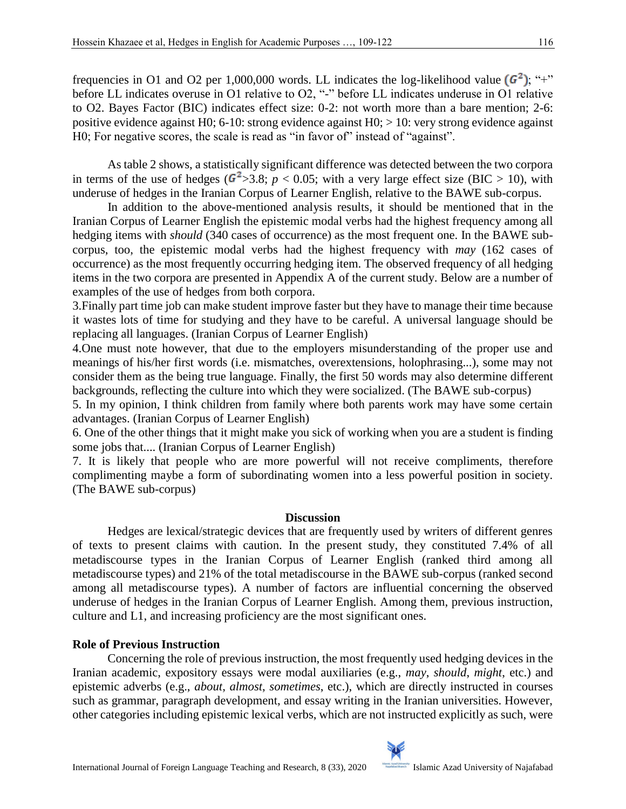H0; For negative scores, the scale is read as "in favor of" instead of "against".

frequencies in O1 and O2 per 1,000,000 words. LL indicates the log-likelihood value  $(G<sup>2</sup>)$ ; "+" before LL indicates overuse in O1 relative to O2, "-" before LL indicates underuse in O1 relative to O2. Bayes Factor (BIC) indicates effect size: 0-2: not worth more than a bare mention; 2-6: positive evidence against H0; 6-10: strong evidence against H0; > 10: very strong evidence against

 As table 2 shows, a statistically significant difference was detected between the two corpora in terms of the use of hedges ( $\frac{6^2}{3.8}$ ;  $p < 0.05$ ; with a very large effect size (BIC > 10), with underuse of hedges in the Iranian Corpus of Learner English, relative to the BAWE sub-corpus.

 In addition to the above-mentioned analysis results, it should be mentioned that in the Iranian Corpus of Learner English the epistemic modal verbs had the highest frequency among all hedging items with *should* (340 cases of occurrence) as the most frequent one. In the BAWE subcorpus, too, the epistemic modal verbs had the highest frequency with *may* (162 cases of occurrence) as the most frequently occurring hedging item. The observed frequency of all hedging items in the two corpora are presented in Appendix A of the current study. Below are a number of examples of the use of hedges from both corpora.

3.Finally part time job can make student improve faster but they have to manage their time because it wastes lots of time for studying and they have to be careful. A universal language should be replacing all languages. (Iranian Corpus of Learner English)

4.One must note however, that due to the employers misunderstanding of the proper use and meanings of his/her first words (i.e. mismatches, overextensions, holophrasing...), some may not consider them as the being true language. Finally, the first 50 words may also determine different backgrounds, reflecting the culture into which they were socialized. (The BAWE sub-corpus)

5. In my opinion, I think children from family where both parents work may have some certain advantages. (Iranian Corpus of Learner English)

6. One of the other things that it might make you sick of working when you are a student is finding some jobs that.... (Iranian Corpus of Learner English)

7. It is likely that people who are more powerful will not receive compliments, therefore complimenting maybe a form of subordinating women into a less powerful position in society. (The BAWE sub-corpus)

### **Discussion**

 Hedges are lexical/strategic devices that are frequently used by writers of different genres of texts to present claims with caution. In the present study, they constituted 7.4% of all metadiscourse types in the Iranian Corpus of Learner English (ranked third among all metadiscourse types) and 21% of the total metadiscourse in the BAWE sub-corpus (ranked second among all metadiscourse types). A number of factors are influential concerning the observed underuse of hedges in the Iranian Corpus of Learner English. Among them, previous instruction, culture and L1, and increasing proficiency are the most significant ones.

### **Role of Previous Instruction**

 Concerning the role of previous instruction, the most frequently used hedging devices in the Iranian academic, expository essays were modal auxiliaries (e.g., *may*, *should*, *might*, etc.) and epistemic adverbs (e.g., *about*, *almost*, *sometimes*, etc.), which are directly instructed in courses such as grammar, paragraph development, and essay writing in the Iranian universities. However, other categories including epistemic lexical verbs, which are not instructed explicitly as such, were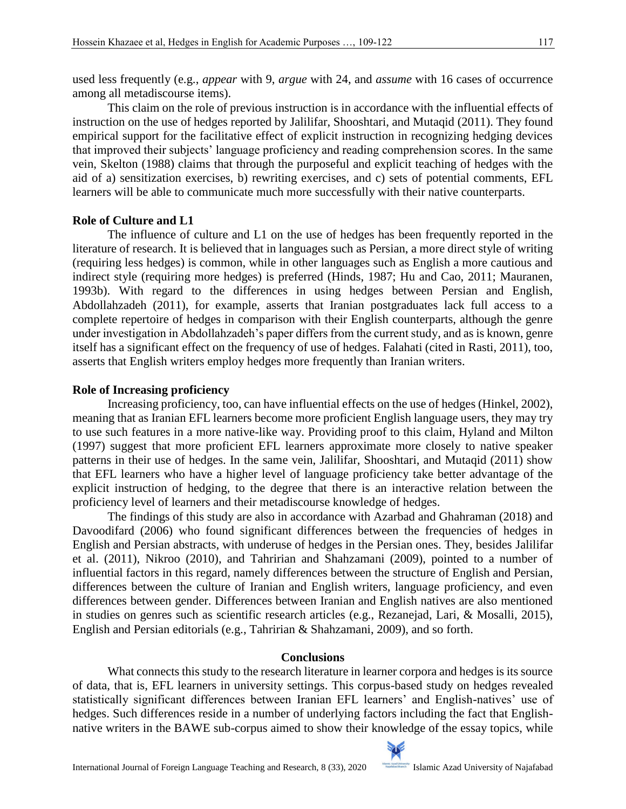used less frequently (e.g., *appear* with 9, *argue* with 24, and *assume* with 16 cases of occurrence among all metadiscourse items).

 This claim on the role of previous instruction is in accordance with the influential effects of instruction on the use of hedges reported by Jalilifar, Shooshtari, and Mutaqid (2011). They found empirical support for the facilitative effect of explicit instruction in recognizing hedging devices that improved their subjects' language proficiency and reading comprehension scores. In the same vein, Skelton (1988) claims that through the purposeful and explicit teaching of hedges with the aid of a) sensitization exercises, b) rewriting exercises, and c) sets of potential comments, EFL learners will be able to communicate much more successfully with their native counterparts.

# **Role of Culture and L1**

 The influence of culture and L1 on the use of hedges has been frequently reported in the literature of research. It is believed that in languages such as Persian, a more direct style of writing (requiring less hedges) is common, while in other languages such as English a more cautious and indirect style (requiring more hedges) is preferred (Hinds, 1987; Hu and Cao, 2011; Mauranen, 1993b). With regard to the differences in using hedges between Persian and English, Abdollahzadeh (2011), for example, asserts that Iranian postgraduates lack full access to a complete repertoire of hedges in comparison with their English counterparts, although the genre under investigation in Abdollahzadeh's paper differs from the current study, and as is known, genre itself has a significant effect on the frequency of use of hedges. Falahati (cited in Rasti, 2011), too, asserts that English writers employ hedges more frequently than Iranian writers.

# **Role of Increasing proficiency**

 Increasing proficiency, too, can have influential effects on the use of hedges (Hinkel, 2002), meaning that as Iranian EFL learners become more proficient English language users, they may try to use such features in a more native-like way. Providing proof to this claim, Hyland and Milton (1997) suggest that more proficient EFL learners approximate more closely to native speaker patterns in their use of hedges. In the same vein, Jalilifar, Shooshtari, and Mutaqid (2011) show that EFL learners who have a higher level of language proficiency take better advantage of the explicit instruction of hedging, to the degree that there is an interactive relation between the proficiency level of learners and their metadiscourse knowledge of hedges.

 The findings of this study are also in accordance with Azarbad and Ghahraman (2018) and Davoodifard (2006) who found significant differences between the frequencies of hedges in English and Persian abstracts, with underuse of hedges in the Persian ones. They, besides Jalilifar et al. (2011), Nikroo (2010), and Tahririan and Shahzamani (2009), pointed to a number of influential factors in this regard, namely differences between the structure of English and Persian, differences between the culture of Iranian and English writers, language proficiency, and even differences between gender. Differences between Iranian and English natives are also mentioned in studies on genres such as scientific research articles (e.g., Rezanejad, Lari, & Mosalli, 2015), English and Persian editorials (e.g., Tahririan & Shahzamani, 2009), and so forth.

# **Conclusions**

 What connects this study to the research literature in learner corpora and hedges is its source of data, that is, EFL learners in university settings. This corpus-based study on hedges revealed statistically significant differences between Iranian EFL learners' and English-natives' use of hedges. Such differences reside in a number of underlying factors including the fact that Englishnative writers in the BAWE sub-corpus aimed to show their knowledge of the essay topics, while

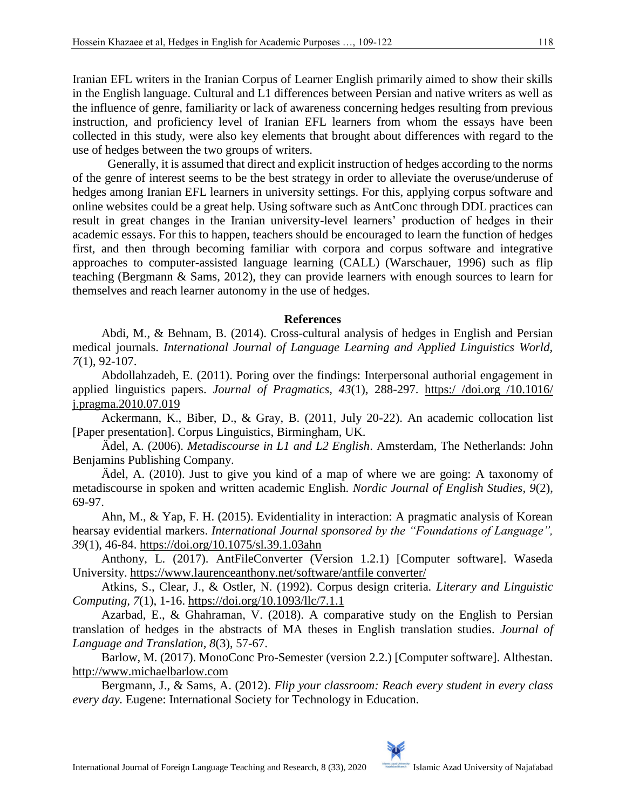Iranian EFL writers in the Iranian Corpus of Learner English primarily aimed to show their skills in the English language. Cultural and L1 differences between Persian and native writers as well as the influence of genre, familiarity or lack of awareness concerning hedges resulting from previous instruction, and proficiency level of Iranian EFL learners from whom the essays have been collected in this study, were also key elements that brought about differences with regard to the use of hedges between the two groups of writers.

 Generally, it is assumed that direct and explicit instruction of hedges according to the norms of the genre of interest seems to be the best strategy in order to alleviate the overuse/underuse of hedges among Iranian EFL learners in university settings. For this, applying corpus software and online websites could be a great help. Using software such as AntConc through DDL practices can result in great changes in the Iranian university-level learners' production of hedges in their academic essays. For this to happen, teachers should be encouraged to learn the function of hedges first, and then through becoming familiar with corpora and corpus software and integrative approaches to computer-assisted language learning (CALL) (Warschauer, 1996) such as flip teaching (Bergmann & Sams, 2012), they can provide learners with enough sources to learn for themselves and reach learner autonomy in the use of hedges.

#### **References**

Abdi, M., & Behnam, B. (2014). Cross-cultural analysis of hedges in English and Persian medical journals. *International Journal of Language Learning and Applied Linguistics World, 7*(1), 92-107.

Abdollahzadeh, E. (2011). Poring over the findings: Interpersonal authorial engagement in applied linguistics papers. *Journal of Pragmatics, 43*(1), 288-297. [https:/ /doi.org /10.1016/](https://doi.org/10.1016/j.pragma.2010.07.019)  [j.pragma.2010.07.019](https://doi.org/10.1016/j.pragma.2010.07.019)

Ackermann, K., Biber, D., & Gray, B. (2011, July 20-22). An academic collocation list [Paper presentation]. Corpus Linguistics, Birmingham, UK.

Ädel, A. (2006). *Metadiscourse in L1 and L2 English*. Amsterdam, The Netherlands: John Benjamins Publishing Company.

Ädel, A. (2010). Just to give you kind of a map of where we are going: A taxonomy of metadiscourse in spoken and written academic English. *Nordic Journal of English Studies, 9*(2), 69-97.

Ahn, M., & Yap, F. H. (2015). Evidentiality in interaction: A pragmatic analysis of Korean hearsay evidential markers. *International Journal sponsored by the "Foundations of Language", 39*(1), 46-84.<https://doi.org/10.1075/sl.39.1.03ahn>

Anthony, L. (2017). AntFileConverter (Version 1.2.1) [Computer software]. Waseda University. [https://www.laurenceanthony.net/software/antfile converter/](https://www.laurenceanthony.net/software/antfile%20converter/) 

Atkins, S., Clear, J., & Ostler, N. (1992). Corpus design criteria. *Literary and Linguistic Computing, 7*(1), 1-16.<https://doi.org/10.1093/llc/7.1.1>

Azarbad, E., & Ghahraman, V. (2018). A comparative study on the English to Persian translation of hedges in the abstracts of MA theses in English translation studies. *Journal of Language and Translation, 8*(3), 57-67.

Barlow, M. (2017). MonoConc Pro-Semester (version 2.2.) [Computer software]. Althestan. [http://www.michaelbarlow.com](http://www.michaelbarlow.com/)

Bergmann, J., & Sams, A. (2012). *Flip your classroom: Reach every student in every class every day.* Eugene: International Society for Technology in Education.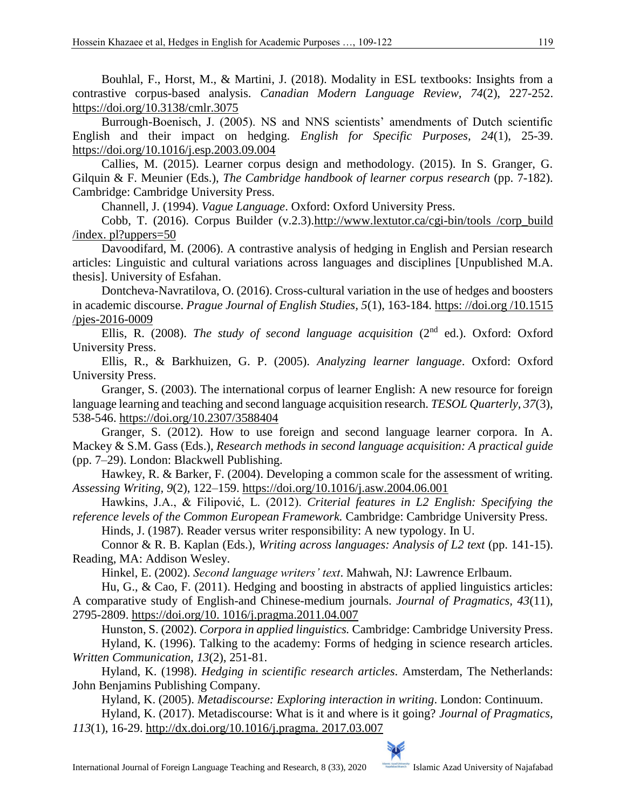Bouhlal, F., Horst, M., & Martini, J. (2018). Modality in ESL textbooks: Insights from a contrastive corpus-based analysis. *Canadian Modern Language Review, 74*(2), 227-252. <https://doi.org/10.3138/cmlr.3075>

Burrough-Boenisch, J. (2005). NS and NNS scientists' amendments of Dutch scientific English and their impact on hedging. *English for Specific Purposes, 24*(1), 25-39. <https://doi.org/10.1016/j.esp.2003.09.004>

Callies, M. (2015). Learner corpus design and methodology. (2015). In S. Granger, G. Gilquin & F. Meunier (Eds.), *The Cambridge handbook of learner corpus research* (pp. 7-182). Cambridge: Cambridge University Press.

Channell, J. (1994). *Vague Language*. Oxford: Oxford University Press.

Cobb, T. (2016). Corpus Builder (v.2.3)[.http://www.lextutor.ca/cgi-bin/tools /corp\\_build](http://www.lextutor.ca/cgi-bin/tools%20/corp_build%20/index.%20pl?uppers=50)  [/index. pl?uppers=50](http://www.lextutor.ca/cgi-bin/tools%20/corp_build%20/index.%20pl?uppers=50)

Davoodifard, M. (2006). A contrastive analysis of hedging in English and Persian research articles: Linguistic and cultural variations across languages and disciplines [Unpublished M.A. thesis]. University of Esfahan.

Dontcheva-Navratilova, O. (2016). Cross-cultural variation in the use of hedges and boosters in academic discourse. *Prague Journal of English Studies, 5*(1), 163-184. [https: //doi.org /10.1515](https://doi.org/10.1515/pjes-2016-0009)  [/pjes-2016-0009](https://doi.org/10.1515/pjes-2016-0009)

Ellis, R. (2008). *The study of second language acquisition* (2nd ed.). Oxford: Oxford University Press.

Ellis, R., & Barkhuizen, G. P. (2005). *Analyzing learner language*. Oxford: Oxford University Press.

Granger, S. (2003). The international corpus of learner English: A new resource for foreign language learning and teaching and second language acquisition research. *TESOL Quarterly, 37*(3), 538-546.<https://doi.org/10.2307/3588404>

Granger, S. (2012). How to use foreign and second language learner corpora. In A. Mackey & S.M. Gass (Eds.), *Research methods in second language acquisition: A practical guide*  (pp. 7–29). London: Blackwell Publishing.

Hawkey, R. & Barker, F. (2004). Developing a common scale for the assessment of writing. *Assessing Writing, 9*(2), 122–159.<https://doi.org/10.1016/j.asw.2004.06.001>

Hawkins, J.A., & Filipović, L. (2012). *Criterial features in L2 English: Specifying the reference levels of the Common European Framework.* Cambridge: Cambridge University Press.

Hinds, J. (1987). Reader versus writer responsibility: A new typology. In U.

Connor & R. B. Kaplan (Eds.), *Writing across languages: Analysis of L2 text* (pp. 141-15). Reading, MA: Addison Wesley.

Hinkel, E. (2002). *Second language writers' text*. Mahwah, NJ: Lawrence Erlbaum.

Hu, G., & Cao, F. (2011). Hedging and boosting in abstracts of applied linguistics articles: A comparative study of English-and Chinese-medium journals. *Journal of Pragmatics, 43*(11), 2795-2809. [https://doi.org/10. 1016/j.pragma.2011.04.007](https://doi.org/10.%201016/j.pragma.2011.04.007)

Hunston, S. (2002). *Corpora in applied linguistics.* Cambridge: Cambridge University Press.

Hyland, K. (1996). Talking to the academy: Forms of hedging in science research articles. *Written Communication, 13*(2), 251-81.

Hyland, K. (1998). *Hedging in scientific research articles*. Amsterdam, The Netherlands: John Benjamins Publishing Company.

Hyland, K. (2005). *Metadiscourse: Exploring interaction in writing*. London: Continuum.

Hyland, K. (2017). Metadiscourse: What is it and where is it going? *Journal of Pragmatics, 113*(1), 16-29. [http://dx.doi.org/10.1016/j.pragma. 2017.03.007](http://dx.doi.org/10.1016/j.pragma.%202017.03.007)

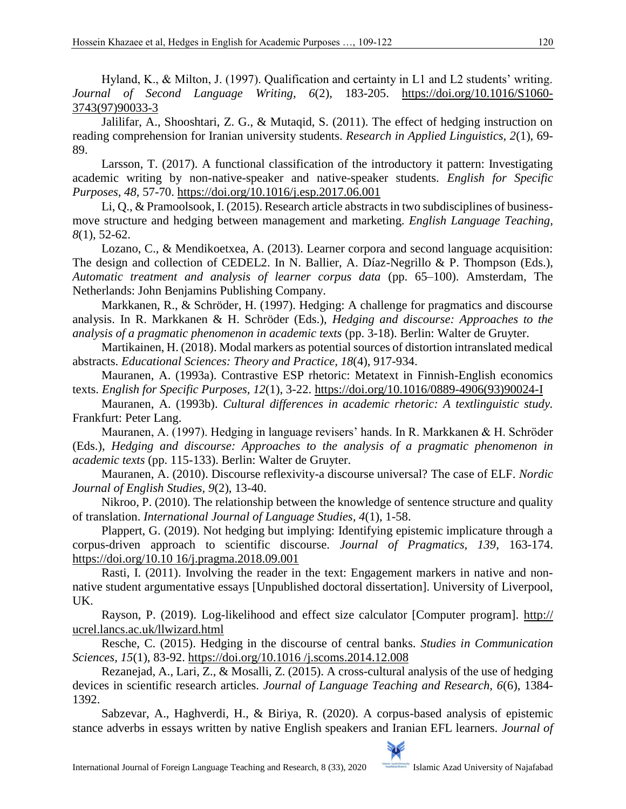Hyland, K., & Milton, J. (1997). Qualification and certainty in L1 and L2 students' writing. *Journal of Second Language Writing, 6*(2), 183-205. [https://doi.org/10.1016/S1060-](https://doi.org/10.1016/S1060-3743(97)90033-3) [3743\(97\)90033-3](https://doi.org/10.1016/S1060-3743(97)90033-3)

Jalilifar, A., Shooshtari, Z. G., & Mutaqid, S. (2011). The effect of hedging instruction on reading comprehension for Iranian university students. *Research in Applied Linguistics, 2*(1), 69- 89.

Larsson, T. (2017). A functional classification of the introductory it pattern: Investigating academic writing by non-native-speaker and native-speaker students. *English for Specific Purposes, 48*, 57-70.<https://doi.org/10.1016/j.esp.2017.06.001>

Li, Q., & Pramoolsook, I. (2015). Research article abstracts in two subdisciplines of businessmove structure and hedging between management and marketing. *English Language Teaching, 8*(1), 52-62.

Lozano, C., & Mendikoetxea, A. (2013). Learner corpora and second language acquisition: The design and collection of CEDEL2. In N. Ballier, A. Díaz-Negrillo & P. Thompson (Eds.), *Automatic treatment and analysis of learner corpus data* (pp. 65–100). Amsterdam, The Netherlands: John Benjamins Publishing Company.

Markkanen, R., & Schröder, H. (1997). Hedging: A challenge for pragmatics and discourse analysis. In R. Markkanen & H. Schröder (Eds.), *Hedging and discourse: Approaches to the analysis of a pragmatic phenomenon in academic texts* (pp. 3-18). Berlin: Walter de Gruyter.

Martikainen, H. (2018). Modal markers as potential sources of distortion intranslated medical abstracts. *Educational Sciences: Theory and Practice, 18*(4), 917-934.

Mauranen, A. (1993a). Contrastive ESP rhetoric: Metatext in Finnish-English economics texts. *English for Specific Purposes, 12*(1), 3-22. [https://doi.org/10.1016/0889-4906\(93\)90024-I](https://doi.org/10.1016/0889-4906(93)90024-I) 

Mauranen, A. (1993b). *Cultural differences in academic rhetoric: A textlinguistic study.* Frankfurt: Peter Lang.

Mauranen, A. (1997). Hedging in language revisers' hands. In R. Markkanen & H. Schröder (Eds.), *Hedging and discourse: Approaches to the analysis of a pragmatic phenomenon in academic texts* (pp. 115-133). Berlin: Walter de Gruyter.

Mauranen, A. (2010). Discourse reflexivity-a discourse universal? The case of ELF. *Nordic Journal of English Studies, 9*(2), 13-40.

Nikroo, P. (2010). The relationship between the knowledge of sentence structure and quality of translation. *International Journal of Language Studies, 4*(1), 1-58.

Plappert, G. (2019). Not hedging but implying: Identifying epistemic implicature through a corpus-driven approach to scientific discourse. *Journal of Pragmatics, 139*, 163-174. [https://doi.org/10.10 16/j.pragma.2018.09.001](https://doi.org/10.10%2016/j.pragma.2018.09.001)

Rasti, I. (2011). Involving the reader in the text: Engagement markers in native and nonnative student argumentative essays [Unpublished doctoral dissertation]. University of Liverpool, UK.

Rayson, P. (2019). Log-likelihood and effect size calculator [Computer program]. http:// ucrel.lancs.ac.uk/llwizard.html

Resche, C. (2015). Hedging in the discourse of central banks. *Studies in Communication Sciences, 15*(1), 83-92. [https://doi.org/10.1016 /j.scoms.2014.12.008](https://doi.org/10.1016%20/j.scoms.2014.12.008)

Rezanejad, A., Lari, Z., & Mosalli, Z. (2015). A cross-cultural analysis of the use of hedging devices in scientific research articles. *Journal of Language Teaching and Research, 6*(6), 1384- 1392.

Sabzevar, A., Haghverdi, H., & Biriya, R. (2020). A corpus-based analysis of epistemic stance adverbs in essays written by native English speakers and Iranian EFL learners. *Journal of*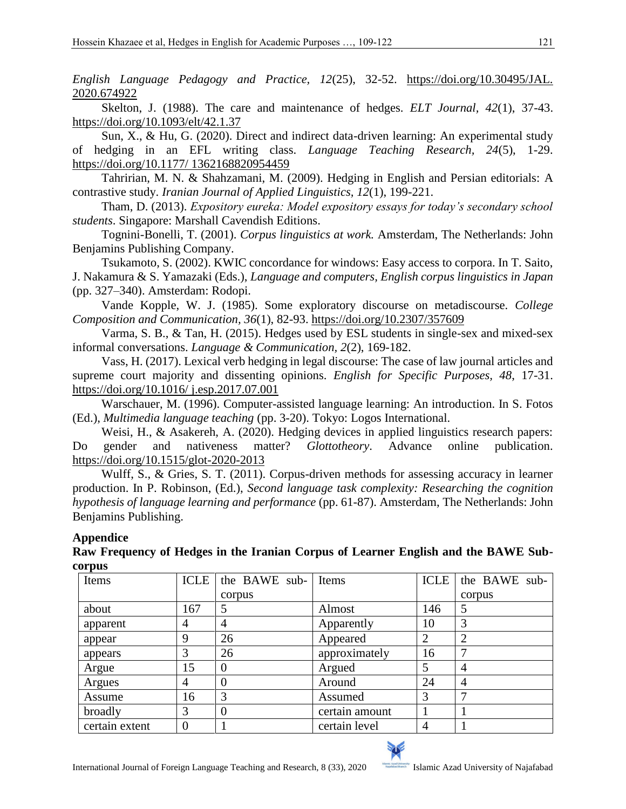*English Language Pedagogy and Practice, 12*(25), 32-52. [https://doi.org/10.30495/JAL.](https://doi.org/10.30495/JAL.%202020.674922)  [2020.674922](https://doi.org/10.30495/JAL.%202020.674922)

Skelton, J. (1988). The care and maintenance of hedges. *ELT Journal, 42*(1), 37-43. <https://doi.org/10.1093/elt/42.1.37>

Sun, X., & Hu, G. (2020). Direct and indirect data-driven learning: An experimental study of hedging in an EFL writing class. *Language Teaching Research, 24*(5), 1-29. [https://doi.org/10.1177/ 1362168820954459](https://doi.org/10.1177/%201362168820954459)

Tahririan, M. N. & Shahzamani, M. (2009). Hedging in English and Persian editorials: A contrastive study. *Iranian Journal of Applied Linguistics, 12*(1), 199-221.

Tham, D. (2013). *Expository eureka: Model expository essays for today's secondary school students*. Singapore: Marshall Cavendish Editions.

Tognini-Bonelli, T. (2001). *Corpus linguistics at work.* Amsterdam, The Netherlands: John Benjamins Publishing Company.

Tsukamoto, S. (2002). KWIC concordance for windows: Easy access to corpora. In T. Saito, J. Nakamura & S. Yamazaki (Eds.), *Language and computers, English corpus linguistics in Japan* (pp. 327–340). Amsterdam: Rodopi.

Vande Kopple, W. J. (1985). Some exploratory discourse on metadiscourse. *College Composition and Communication, 36*(1), 82-93.<https://doi.org/10.2307/357609>

Varma, S. B., & Tan, H. (2015). Hedges used by ESL students in single-sex and mixed-sex informal conversations. *Language & Communication, 2*(2), 169-182.

Vass, H. (2017). Lexical verb hedging in legal discourse: The case of law journal articles and supreme court majority and dissenting opinions. *English for Specific Purposes, 48*, 17-31. [https://doi.org/10.1016/ j.esp.2017.07.001](https://doi.org/10.1016/%20j.esp.2017.07.001)

Warschauer, M. (1996). Computer-assisted language learning: An introduction. In S. Fotos (Ed.), *Multimedia language teaching* (pp. 3-20). Tokyo: Logos International.

Weisi, H., & Asakereh, A. (2020). Hedging devices in applied linguistics research papers: Do gender and nativeness matter? *Glottotheory*. Advance online publication. <https://doi.org/10.1515/glot-2020-2013>

Wulff, S., & Gries, S. T. (2011). Corpus-driven methods for assessing accuracy in learner production. In P. Robinson, (Ed.), *Second language task complexity: Researching the cognition hypothesis of language learning and performance* (pp. 61-87). Amsterdam, The Netherlands: John Benjamins Publishing.

### **Appendice**

**Raw Frequency of Hedges in the Iranian Corpus of Learner English and the BAWE Subcorpus**

| Items          | <b>ICLE</b> | the BAWE sub- Items |                | ICLE           | the BAWE sub-  |
|----------------|-------------|---------------------|----------------|----------------|----------------|
|                |             | corpus              |                |                | corpus         |
| about          | 167         | 5                   | Almost         | 146            | 5              |
| apparent       | 4           | 4                   | Apparently     | 10             | 3              |
| appear         | 9           | 26                  | Appeared       | $\overline{2}$ | $\overline{2}$ |
| appears        |             | 26                  | approximately  | 16             |                |
| Argue          | 15          | $\Omega$            | Argued         | 5              | $\overline{4}$ |
| Argues         | 4           | $\theta$            | Around         | 24             | $\overline{4}$ |
| Assume         | 16          | 3                   | Assumed        | 3              | ⇁              |
| broadly        | 3           | $\Omega$            | certain amount |                |                |
| certain extent | $\theta$    |                     | certain level  | $\overline{4}$ |                |